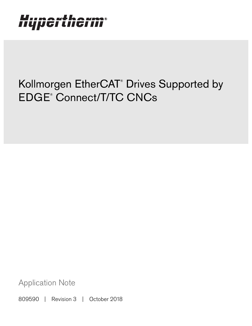# Hypertherm®

## Kollmorgen EtherCAT® Drives Supported by EDGE® Connect/T/TC CNCs

Application Note

809590 | Revision 3 | October 2018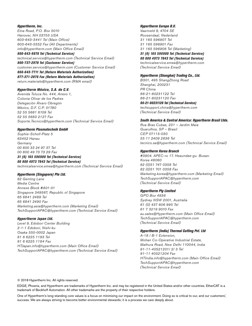#### Hypertherm, Inc.

Etna Road, P.O. Box 5010 Hanover, NH 03755 USA 603-643-3441 Tel (Main Office) 603-643-5352 Fax (All Departments) info@hypertherm.com (Main Office Email)

800-643-9878 Tel (Technical Service) technical.service@hypertherm.com (Technical Service Email) 800-737-2978 Tel (Customer Service)

customer.service@hypertherm.com (Customer Service Email)

866-643-7711 Tel (Return Materials Authorization) 877-371-2876 Fax (Return Materials Authorization) return.materials@hypertherm.com (RMA email)

#### Hypertherm México, S.A. de C.V.

Avenida Toluca No. 444, Anexo 1, Colonia Olivar de los Padres Delegación Álvaro Obregón México, D.F. C.P. 01780 52 55 5681 8109 Tel 52 55 5683 2127 Fax Soporte.Tecnico@hypertherm.com (Technical Service Email)

#### Hypertherm Plasmatechnik GmbH

Sophie-Scholl-Platz 5 63452 Hanau **Germany** 00 800 33 24 97 37 Tel 00 800 49 73 73 29 Fax

#### 31 (0) 165 596900 Tel (Technical Service)

00 800 4973 7843 Tel (Technical Service) technicalservice.emea@hypertherm.com (Technical Service Email)

#### Hypertherm (Singapore) Pte Ltd.

82 Genting Lane Media Centre Annexe Block #A01-01 Singapore 349567, Republic of Singapore 65 6841 2489 Tel 65 6841 2490 Fax Marketing.asia@hypertherm.com (Marketing Email) TechSupportAPAC@hypertherm.com (Technical Service Email)

#### Hypertherm Japan Ltd.

Level 9, Edobori Center Building 2-1-1 Edobori, Nishi-ku Osaka 550-0002 Japan 81 6 6225 1183 Tel 81 6 6225 1184 Fax HTJapan.info@hypertherm.com (Main Office Email) TechSupportAPAC@hypertherm.com (Technical Service Email)

#### Hypertherm Europe B.V.

Vaartveld 9, 4704 SE Roosendaal, Nederland 31 165 596907 Tel 31 165 596901 Fax 31 165 596908 Tel (Marketing) 31 (0) 165 596900 Tel (Technical Service) 00 800 4973 7843 Tel (Technical Service)

technicalservice.emea@hypertherm.com (Technical Service Email)

#### Hypertherm (Shanghai) Trading Co., Ltd.

B301, 495 ShangZhong Road Shanghai, 200231 PR China 86-21-80231122 Tel 86-21-80231120 Fax

86-21-80231128 Tel (Technical Service) techsupport.china@hypertherm.com (Technical Service Email)

#### South America & Central America: Hypertherm Brasil Ltda.

Rua Bras Cubas, 231 – Jardim Maia Guarulhos, SP – Brasil CEP 07115-030 55 11 2409 2636 Tel tecnico.sa@hypertherm.com (Technical Service Email)

#### Hypertherm Korea Branch

#3904. APEC-ro 17. Heaundae-gu. Busan. Korea 48060 82 (0)51 747 0358 Tel 82 (0)51 701 0358 Fax Marketing.korea@hypertherm.com (Marketing Email) TechSupportAPAC@hypertherm.com (Technical Service Email)

#### Hypertherm Pty Limited

GPO Box 4836 Sydney NSW 2001, Australia 61 (0) 437 606 995 Tel 61 7 3219 9010 Fax au.sales@Hypertherm.com (Main Office Email) TechSupportAPAC@hypertherm.com (Technical Service Email)

#### Hypertherm (India) Thermal Cutting Pvt. Ltd

A-18 / B-1 Extension, Mohan Co-Operative Industrial Estate, Mathura Road, New Delhi 110044, India 91-11-40521201/ 2/ 3 Tel 91-11 40521204 Fax HTIndia.info@hypertherm.com (Main Office Email) TechSupportAPAC@hypertherm.com (Technical Service Email)

© 2018 Hypertherm Inc. All rights reserved.

EDGE, Phoenix, and Hypertherm are trademarks of Hypertherm Inc. and may be registered in the United States and/or other countries. EtherCAT is a trademark of Beckhoff Automation. All other trademarks are the property of their respective holders.

One of Hypertherm's long-standing core values is a focus on minimizing our impact on the environment. Doing so is critical to our, and our customers', success. We are always striving to become better environmental stewards; it is a process we care deeply about.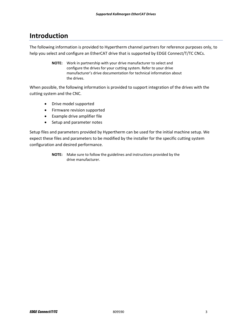## **Introduction**

The following information is provided to Hypertherm channel partners for reference purposes only, to help you select and configure an EtherCAT drive that is supported by EDGE Connect/T/TC CNCs.

> **NOTE:** Work in partnership with your drive manufacturer to select and configure the drives for your cutting system. Refer to your drive manufacturer's drive documentation for technical information about the drives.

When possible, the following information is provided to support integration of the drives with the cutting system and the CNC.

- Drive model supported
- Firmware revision supported
- Example drive amplifier file
- Setup and parameter notes

Setup files and parameters provided by Hypertherm can be used for the initial machine setup. We expect these files and parameters to be modified by the installer for the specific cutting system configuration and desired performance.

> **NOTE:** Make sure to follow the guidelines and instructions provided by the drive manufacturer.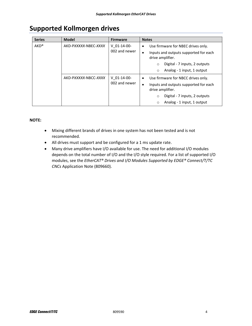## **Supported Kollmorgen drives**

| <b>Series</b> | <b>Model</b>         | <b>Firmware</b>                | <b>Notes</b>                                                           |
|---------------|----------------------|--------------------------------|------------------------------------------------------------------------|
| $AKD^*$       | AKD-PXXXXX-NBEC-XXXX | $V$ 01-14-00-<br>002 and newer | Use firmware for NBEC drives only.<br>$\bullet$                        |
|               |                      |                                | Inputs and outputs supported for each<br>$\bullet$<br>drive amplifier. |
|               |                      |                                | Digital - 7 inputs, 2 outputs<br>$\circ$                               |
|               |                      |                                | Analog - 1 input, 1 output<br>$\circ$                                  |
|               | AKD-PXXXXX-NBCC-XXXX | $V$ 01-14-00-<br>002 and newer | Use firmware for NBCC drives only.<br>$\bullet$                        |
|               |                      |                                | Inputs and outputs supported for each<br>$\bullet$<br>drive amplifier. |
|               |                      |                                | Digital - 7 inputs, 2 outputs<br>$\circ$                               |
|               |                      |                                | Analog - 1 input, 1 output<br>$\circ$                                  |

#### **NOTE:**

- Mixing different brands of drives in one system has not been tested and is not recommended.
- All drives must support and be configured for a 1 ms update rate.
- Many drive amplifiers have I/O available for use. The need for additional I/O modules depends on the total number of I/O and the I/O style required. For a list of supported I/O modules, see the *EtherCAT® Drives and I/O Modules Supported by EDGE® Connect/T/TC CNCs* Application Note (809660).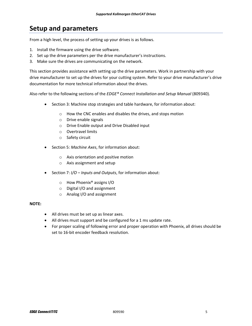## **Setup and parameters**

From a high level, the process of setting up your drives is as follows.

- 1. Install the firmware using the drive software.
- 2. Set up the drive parameters per the drive manufacturer's instructions.
- 3. Make sure the drives are communicating on the network.

This section provides assistance with setting up the drive parameters. Work in partnership with your drive manufacturer to set up the drives for your cutting system. Refer to your drive manufacturer's drive documentation for more technical information about the drives.

Also refer to the following sections of the *EDGE® Connect Installation and Setup Manual* (809340).

- Section 3: Machine stop strategies and table hardware, for information about:
	- o How the CNC enables and disables the drives, and stops motion
	- o Drive enable signals
	- o Drive Enable output and Drive Disabled input
	- o Overtravel limits
	- o Safety circuit
- **Section 5: Machine Axes, for information about:** 
	- o Axis orientation and positive motion
	- o Axis assignment and setup
- Section 7: *I/O Inputs and Outputs*, for information about:
	- o How Phoenix® assigns I/O
	- o Digital I/O and assignment
	- o Analog I/O and assignment

#### **NOTE:**

- All drives must be set up as linear axes.
- All drives must support and be configured for a 1 ms update rate.
- For proper scaling of following error and proper operation with Phoenix, all drives should be set to 16‐bit encoder feedback resolution.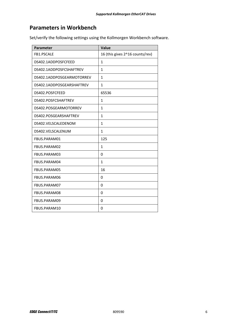### **Parameters in Workbench**

Set/verify the following settings using the Kollmorgen Workbench software.

| <b>Parameter</b>          | Value                           |
|---------------------------|---------------------------------|
| FB1.PSCALE                | 16 (this gives 2^16 counts/rev) |
| DS402.1ADDPOSFCFEED       | $\mathbf{1}$                    |
| DS402.1ADDPOSFCSHAFTREV   | 1                               |
| DS402.1ADDPOSGEARMOTORREV | $\mathbf{1}$                    |
| DS402.1ADDPOSGEARSHAFTREV | $\mathbf{1}$                    |
| DS402.POSFCFEED           | 65536                           |
| DS402.POSFCSHAFTREV       | 1                               |
| DS402.POSGEARMOTORREV     | $\mathbf{1}$                    |
| DS402.POSGEARSHAFTREV     | $\mathbf{1}$                    |
| DS402.VELSCALEDENOM       | 1                               |
| DS402.VELSCALENUM         | $\mathbf{1}$                    |
| FBUS.PARAM01              | 125                             |
| FBUS.PARAM02              | $\mathbf{1}$                    |
| FBUS.PARAM03              | 0                               |
| FBUS.PARAM04              | $\mathbf{1}$                    |
| FBUS.PARAM05              | 16                              |
| FBUS.PARAM06              | 0                               |
| FBUS.PARAM07              | 0                               |
| FBUS.PARAM08              | 0                               |
| FBUS.PARAM09              | 0                               |
| FBUS.PARAM10              | 0                               |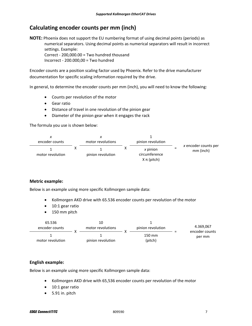## **Calculating encoder counts per mm (inch)**

**NOTE:** Phoenix does not support the EU numbering format of using decimal points (periods) as numerical separators. Using decimal points as numerical separators will result in incorrect settings. Example: Correct ‐ 200,000.00 = Two hundred thousand

Incorrect ‐ 200.000,00 = Two hundred

Encoder counts are a position scaling factor used by Phoenix. Refer to the drive manufacturer documentation for specific scaling information required by the drive.

In general, to determine the encoder counts per mm (inch), you will need to know the following:

- Counts per revolution of the motor
- Gear ratio
- Distance of travel in one revolution of the pinion gear
- Diameter of the pinion gear when it engages the rack

The formula you use is shown below:



#### **Metric example:**

Below is an example using more specific Kollmorgen sample data:

- Kollmorgen AKD drive with 65.536 encoder counts per revolution of the motor
- 10:1 gear ratio
- 150 mm pitch

| 65.536<br>encoder counts |  | 10<br>motor revolutions | pinion revolution | 4.369.067<br>encoder counts |
|--------------------------|--|-------------------------|-------------------|-----------------------------|
| motor revolution         |  | pinion revolution       | 150 mm<br>(pitch) | per mm                      |

#### **English example:**

Below is an example using more specific Kollmorgen sample data:

- Kollmorgen AKD drive with 65,536 encoder counts per revolution of the motor
- 10:1 gear ratio
- $\bullet$  5.91 in. pitch